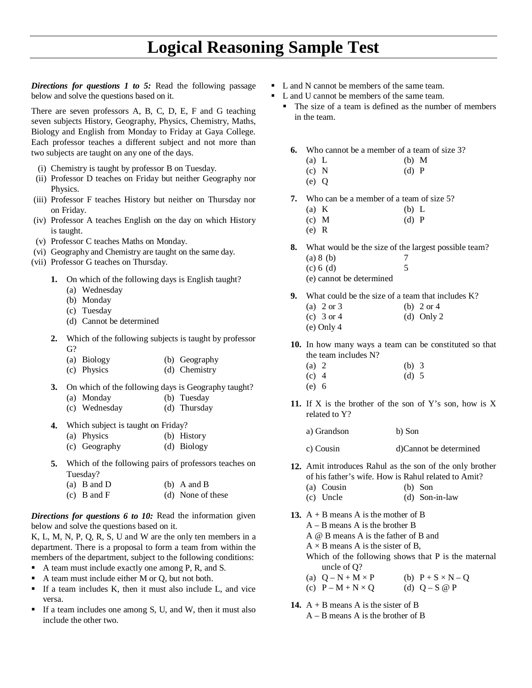*Directions for questions 1 to 5:* Read the following passage below and solve the questions based on it.

There are seven professors A, B, C, D, E, F and G teaching seven subjects History, Geography, Physics, Chemistry, Maths, Biology and English from Monday to Friday at Gaya College. Each professor teaches a different subject and not more than two subjects are taught on any one of the days.

- (i) Chemistry is taught by professor B on Tuesday.
- (ii) Professor D teaches on Friday but neither Geography nor Physics.
- (iii) Professor F teaches History but neither on Thursday nor on Friday.
- (iv) Professor A teaches English on the day on which History is taught.
- (v) Professor C teaches Maths on Monday.
- (vi) Geography and Chemistry are taught on the same day.
- (vii) Professor G teaches on Thursday.
	- **1.** On which of the following days is English taught?
		- (a) Wednesday
		- (b) Monday
		- (c) Tuesday
		- (d) Cannot be determined
	- **2.** Which of the following subjects is taught by professor G?
		- (a) Biology (b) Geography
		- (c) Physics (d) Chemistry
	- **3.** On which of the following days is Geography taught? (a) Monday (b) Tuesday
		- (c) Wednesday (d) Thursday
	- **4.** Which subject is taught on Friday?
		- (a) Physics (b) History
		- (c) Geography (d) Biology
	- **5.** Which of the following pairs of professors teaches on Tuesday?
		- (a) B and D (b) A and B (c) B and F (d) None of these

*Directions for questions 6 to 10:* Read the information given below and solve the questions based on it.

K, L, M, N, P, Q, R, S, U and W are the only ten members in a department. There is a proposal to form a team from within the members of the department, subject to the following conditions:

- A team must include exactly one among P, R, and S.
- A team must include either M or Q, but not both.
- If a team includes K, then it must also include L, and vice versa.
- If a team includes one among  $S$ ,  $U$ , and  $W$ , then it must also include the other two.
- L and N cannot be members of the same team.
	- L and U cannot be members of the same team.
		- The size of a team is defined as the number of members in the team.
			- **6.** Who cannot be a member of a team of size 3?
				- (a)  $L$  (b)  $M$
				- (c) N (d) P
			- (e) Q **7.** Who can be a member of a team of size 5?
				- (a) K (b) L (c) M (d) P
				- (e) R

**8.** What would be the size of the largest possible team? (a) 8 (b)  $7$ <br>(c) 6 (d)  $5$  $(c) 6$  (d)

- (e) cannot be determined
- **9.** What could be the size of a team that includes K?
	- (a) 2 or 3 (b) 2 or 4
	- (c)  $3 \text{ or } 4$  (d) Only 2
	- (e) Only 4

**10.** In how many ways a team can be constituted so that the team includes N?

- (a) 2 (b) 3 (c) 4 (d) 5 (e) 6
- **11.** If X is the brother of the son of Y's son, how is X related to Y?
	- a) Grandson b) Son
	- c) Cousin d)Cannot be determined
- **12.** Amit introduces Rahul as the son of the only brother of his father's wife. How is Rahul related to Amit?
	- (a) Cousin (b) Son
	- (c) Uncle (d) Son-in-law
- **13.**  $A + B$  means A is the mother of B A – B means A is the brother B A @ B means A is the father of B and  $A \times B$  means A is the sister of B, Which of the following shows that P is the maternal uncle of Q? (a)  $Q - N + M \times P$  (b)  $P + S \times N - Q$ (c)  $P - M + N \times Q$  (d)  $Q - S$  @ P
- **14.** A + B means A is the sister of B A – B means A is the brother of B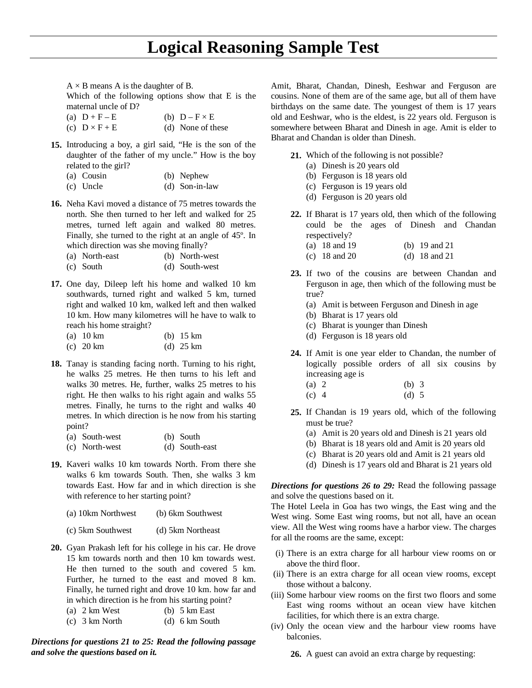$A \times B$  means A is the daughter of B.

Which of the following options show that E is the maternal uncle of D?

- (a)  $D + F E$  (b)  $D F \times E$ (c)  $D \times F + E$  (d) None of these
- **15.** Introducing a boy, a girl said, "He is the son of the daughter of the father of my uncle." How is the boy related to the girl?
	- (a) Cousin (b) Nephew
	- (c) Uncle (d) Son-in-law
- **16.** Neha Kavi moved a distance of 75 metres towards the north. She then turned to her left and walked for 25 metres, turned left again and walked 80 metres. Finally, she turned to the right at an angle of 45º. In which direction was she moving finally?
	- (a) North-east (b) North-west
	- (c) South (d) South-west
- **17.** One day, Dileep left his home and walked 10 km southwards, turned right and walked 5 km, turned right and walked 10 km, walked left and then walked 10 km. How many kilometres will he have to walk to reach his home straight?
	- (a) 10 km (b) 15 km (c) 20 km (d) 25 km
- **18.** Tanay is standing facing north. Turning to his right, he walks 25 metres. He then turns to his left and walks 30 metres. He, further, walks 25 metres to his right. He then walks to his right again and walks 55 metres. Finally, he turns to the right and walks 40 metres. In which direction is he now from his starting point?

| (a) South-west | (b) South      |
|----------------|----------------|
| (c) North-west | (d) South-east |

- **19.** Kaveri walks 10 km towards North. From there she walks 6 km towards South. Then, she walks 3 km towards East. How far and in which direction is she with reference to her starting point?
	- (a) 10km Northwest (b) 6km Southwest
	- (c) 5km Southwest (d) 5km Northeast
- **20.** Gyan Prakash left for his college in his car. He drove 15 km towards north and then 10 km towards west. He then turned to the south and covered 5 km. Further, he turned to the east and moved 8 km. Finally, he turned right and drove 10 km. how far and in which direction is he from his starting point?
	- (a)  $2 \text{ km West}$  (b)  $5 \text{ km East}$
	- (c) 3 km North (d) 6 km South

*Directions for questions 21 to 25: Read the following passage and solve the questions based on it.*

Amit, Bharat, Chandan, Dinesh, Eeshwar and Ferguson are cousins. None of them are of the same age, but all of them have birthdays on the same date. The youngest of them is 17 years old and Eeshwar, who is the eldest, is 22 years old. Ferguson is somewhere between Bharat and Dinesh in age. Amit is elder to Bharat and Chandan is older than Dinesh.

- **21.** Which of the following is not possible?
	- (a) Dinesh is 20 years old
	- (b) Ferguson is 18 years old
	- (c) Ferguson is 19 years old
	- (d) Ferguson is 20 years old
- **22.** If Bharat is 17 years old, then which of the following could be the ages of Dinesh and Chandan respectively?
	- (a) 18 and 19 (b) 19 and 21
	- (c) 18 and 20 (d) 18 and 21
- **23.** If two of the cousins are between Chandan and Ferguson in age, then which of the following must be true?
	- (a) Amit is between Ferguson and Dinesh in age
	- (b) Bharat is 17 years old
	- (c) Bharat is younger than Dinesh
	- (d) Ferguson is 18 years old
- **24.** If Amit is one year elder to Chandan, the number of logically possible orders of all six cousins by increasing age is
	- (a) 2 (b) 3 (c) 4 (d) 5
- **25.** If Chandan is 19 years old, which of the following must be true?
	- (a) Amit is 20 years old and Dinesh is 21 years old
	- (b) Bharat is 18 years old and Amit is 20 years old
	- (c) Bharat is 20 years old and Amit is 21 years old
	- (d) Dinesh is 17 years old and Bharat is 21 years old

*Directions for questions 26 to 29:* Read the following passage and solve the questions based on it.

The Hotel Leela in Goa has two wings, the East wing and the West wing. Some East wing rooms, but not all, have an ocean view. All the West wing rooms have a harbor view. The charges for all the rooms are the same, except:

- (i) There is an extra charge for all harbour view rooms on or above the third floor.
- (ii) There is an extra charge for all ocean view rooms, except those without a balcony.
- (iii) Some harbour view rooms on the first two floors and some East wing rooms without an ocean view have kitchen facilities, for which there is an extra charge.
- (iv) Only the ocean view and the harbour view rooms have balconies.

**26.** A guest can avoid an extra charge by requesting: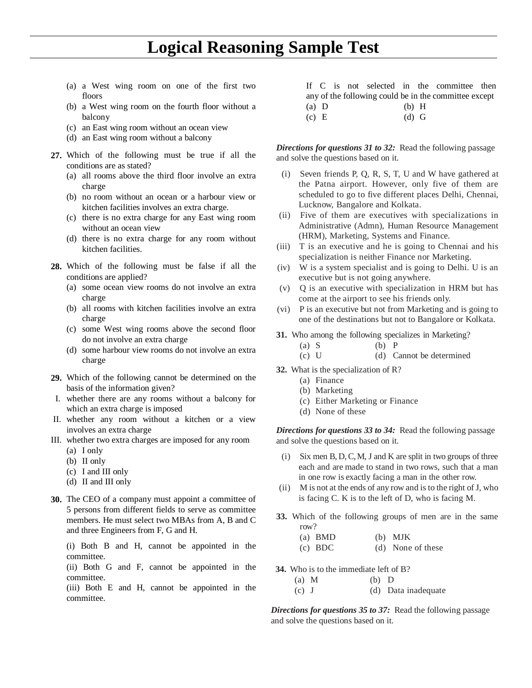- (a) a West wing room on one of the first two floors
- (b) a West wing room on the fourth floor without a balcony
- (c) an East wing room without an ocean view
- (d) an East wing room without a balcony
- **27.** Which of the following must be true if all the conditions are as stated?
	- (a) all rooms above the third floor involve an extra charge
	- (b) no room without an ocean or a harbour view or kitchen facilities involves an extra charge.
	- (c) there is no extra charge for any East wing room without an ocean view
	- (d) there is no extra charge for any room without kitchen facilities.
- **28.** Which of the following must be false if all the conditions are applied?
	- (a) some ocean view rooms do not involve an extra charge
	- (b) all rooms with kitchen facilities involve an extra charge
	- (c) some West wing rooms above the second floor do not involve an extra charge
	- (d) some harbour view rooms do not involve an extra charge
- **29.** Which of the following cannot be determined on the basis of the information given?
- I. whether there are any rooms without a balcony for which an extra charge is imposed
- II. whether any room without a kitchen or a view involves an extra charge
- III. whether two extra charges are imposed for any room
	- (a) I only
	- (b) II only
	- (c) I and III only
	- (d) II and III only
- **30.** The CEO of a company must appoint a committee of 5 persons from different fields to serve as committee members. He must select two MBAs from A, B and C and three Engineers from F, G and H.

(i) Both B and H, cannot be appointed in the committee.

(ii) Both G and F, cannot be appointed in the committee.

(iii) Both E and H, cannot be appointed in the committee.

|         |  |  |         | If C is not selected in the committee then            |  |
|---------|--|--|---------|-------------------------------------------------------|--|
|         |  |  |         | any of the following could be in the committee except |  |
| $(a)$ D |  |  | $(b)$ H |                                                       |  |
| (c) E   |  |  | $(d)$ G |                                                       |  |

*Directions for questions 31 to 32:* Read the following passage and solve the questions based on it.

- (i) Seven friends P, Q, R, S, T, U and W have gathered at the Patna airport. However, only five of them are scheduled to go to five different places Delhi, Chennai, Lucknow, Bangalore and Kolkata.
- (ii) Five of them are executives with specializations in Administrative (Admn), Human Resource Management (HRM), Marketing, Systems and Finance.
- (iii) T is an executive and he is going to Chennai and his specialization is neither Finance nor Marketing.
- (iv) W is a system specialist and is going to Delhi. U is an executive but is not going anywhere.
- (v) Q is an executive with specialization in HRM but has come at the airport to see his friends only.
- (vi) P is an executive but not from Marketing and is going to one of the destinations but not to Bangalore or Kolkata.
- **31.** Who among the following specializes in Marketing?
	- (a) S (b) P
	- (c) U (d) Cannot be determined
- **32.** What is the specialization of R?
	- (a) Finance
	- (b) Marketing
	- (c) Either Marketing or Finance
	- (d) None of these

*Directions for questions 33 to 34:* Read the following passage and solve the questions based on it.

- (i) Six men B, D,C,M, J and K are split in two groups of three each and are made to stand in two rows, such that a man in one row is exactly facing a man in the other row.
- (ii) M is not at the ends of any row and is to the right of J, who is facing C. K is to the left of D, who is facing M.
- **33.** Which of the following groups of men are in the same row?

these

| $(a)$ BMD | $(b)$ MJK   |
|-----------|-------------|
| (c) BDC   | (d) None of |

**34.** Who is to the immediate left of B?

| $(a)$ M | $(b)$ D |                     |
|---------|---------|---------------------|
| $(c)$ J |         | (d) Data inadequate |

*Directions for questions 35 to 37:* Read the following passage and solve the questions based on it.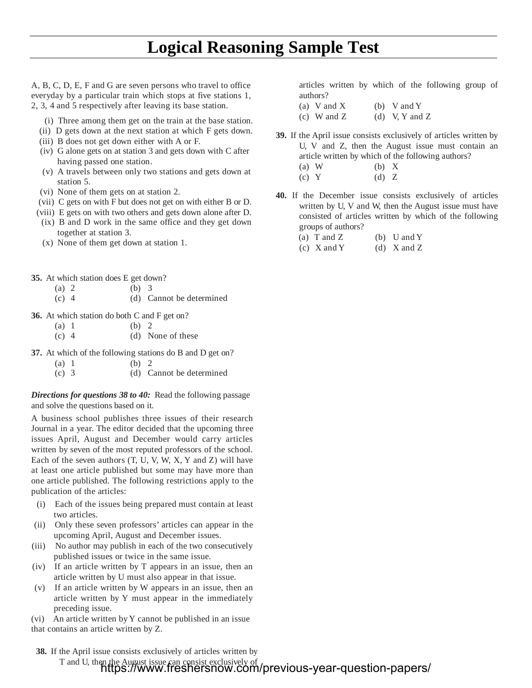A, B, C, D, E, F and G are seven persons who travel to office everyday by a particular train which stops at five stations 1, 2, 3, 4 and 5 respectively after leaving its base station.

- (i) Three among them get on the train at the base station.
- (ii) D gets down at the next station at which F gets down.
- (iii) B does not get down either with A or F.
- (iv) G alone gets on at station 3 and gets down with C after having passed one station.
- (v) A travels between only two stations and gets down at station 5.
- (vi) None of them gets on at station 2.
- (vii) C gets on with F but does not get on with either B or D.
- (viii) E gets on with two others and gets down alone after D. (ix) B and D work in the same office and they get down
- together at station 3.
- (x) None of them get down at station 1.
- **35.** At which station does E get down?
	- (a) 2 (b) 3 (c) 4 (d) Cannot be determined
- **36.** At which station do both C and F get on?

| (a) 1   | (b) 2 |                   |
|---------|-------|-------------------|
| $(c)$ 4 |       | (d) None of these |

- **37.** At which of the following stations do B and D get on?
	- (a)  $1$  (b)  $2$
	- (c) 3 (d) Cannot be determined

*Directions for questions 38 to 40:* Read the following passage and solve the questions based on it.

A business school publishes three issues of their research Journal in a year. The editor decided that the upcoming three issues April, August and December would carry articles written by seven of the most reputed professors of the school. Each of the seven authors (T, U, V, W, X, Y and Z) will have at least one article published but some may have more than one article published. The following restrictions apply to the publication of the articles:

- (i) Each of the issues being prepared must contain at least two articles.
- (ii) Only these seven professors' articles can appear in the upcoming April, August and December issues.
- (iii) No author may publish in each of the two consecutively published issues or twice in the same issue.
- (iv) If an article written by T appears in an issue, then an article written by U must also appear in that issue.
- (v) If an article written by W appears in an issue, then an article written by Y must appear in the immediately preceding issue.

(vi) An article written byY cannot be published in an issue that contains an article written by Z.

**38.** If the April issue consists exclusively of articles written by T and U, then the August issue can consist exclusively of https://www.freshersnow.com/previous-year-question-papers/

articles written by which of the following group of authors?

- (a) V and X (b) V and Y
- (c) W and Z (d) V, Y and Z
- **39.** If the April issue consists exclusively of articles written by U, V and Z, then the August issue must contain an article written by which of the following authors? (a) W (b) X  $(c)$  Y  $(d)$  Z
- **40.** If the December issue consists exclusively of articles written by U, V and W, then the August issue must have consisted of articles written by which of the following groups of authors?
	- (a) T and Z (b) U and Y
	- (c)  $X$  and  $Y$  (d)  $X$  and  $Z$